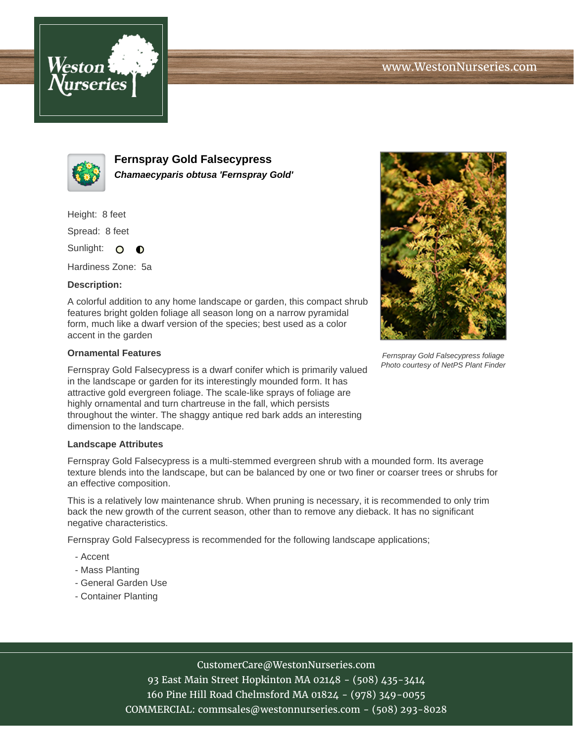



**Fernspray Gold Falsecypress Chamaecyparis obtusa 'Fernspray Gold'**

Height: 8 feet

Spread: 8 feet

Sunlight: O  $\bullet$ 

Hardiness Zone: 5a

### **Description:**

A colorful addition to any home landscape or garden, this compact shrub features bright golden foliage all season long on a narrow pyramidal form, much like a dwarf version of the species; best used as a color accent in the garden

### **Ornamental Features**

Fernspray Gold Falsecypress is a dwarf conifer which is primarily valued in the landscape or garden for its interestingly mounded form. It has attractive gold evergreen foliage. The scale-like sprays of foliage are highly ornamental and turn chartreuse in the fall, which persists throughout the winter. The shaggy antique red bark adds an interesting dimension to the landscape.

### **Landscape Attributes**

Fernspray Gold Falsecypress is a multi-stemmed evergreen shrub with a mounded form. Its average texture blends into the landscape, but can be balanced by one or two finer or coarser trees or shrubs for an effective composition.

This is a relatively low maintenance shrub. When pruning is necessary, it is recommended to only trim back the new growth of the current season, other than to remove any dieback. It has no significant negative characteristics.

Fernspray Gold Falsecypress is recommended for the following landscape applications;

- Accent
- Mass Planting
- General Garden Use
- Container Planting



Fernspray Gold Falsecypress foliage Photo courtesy of NetPS Plant Finder

# CustomerCare@WestonNurseries.com

93 East Main Street Hopkinton MA 02148 - (508) 435-3414 160 Pine Hill Road Chelmsford MA 01824 - (978) 349-0055 COMMERCIAL: commsales@westonnurseries.com - (508) 293-8028